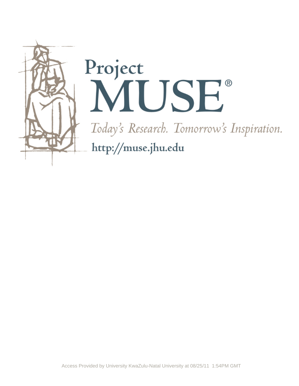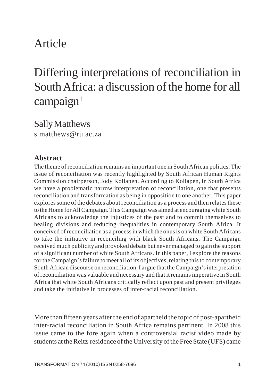# Article

# Differing interpretations of reconciliation in South Africa: a discussion of the home for all  $campa$ <sub>ign</sub><sup>1</sup>

Sally Matthews s.matthews@ru.ac.za

#### **Abstract**

The theme of reconciliation remains an important one in South African politics. The issue of reconciliation was recently highlighted by South African Human Rights Commission chairperson, Jody Kollapen. According to Kollapen, in South Africa we have a problematic narrow interpretation of reconciliation, one that presents reconciliation and transformation as being in opposition to one another. This paper explores some of the debates about reconciliation as a process and then relates these to the Home for All Campaign. This Campaign was aimed at encouraging white South Africans to acknowledge the injustices of the past and to commit themselves to healing divisions and reducing inequalities in contemporary South Africa. It conceived of reconciliation as a process in which the onus is on white South Africans to take the initiative in reconciling with black South Africans. The Campaign received much publicity and provoked debate but never managed to gain the support of a significant number of white South Africans. In this paper, I explore the reasons for the Campaign's failure to meet all of its objectives, relating this to contemporary South African discourse on reconciliation. I argue that the Campaign's interpretation of reconciliation was valuable and necessary and that it remains imperative in South Africa that white South Africans critically reflect upon past and present privileges and take the initiative in processes of inter-racial reconciliation.

More than fifteen years after the end of apartheid the topic of post-apartheid inter-racial reconciliation in South Africa remains pertinent. In 2008 this issue came to the fore again when a controversial racist video made by students at the Reitz residence of the University of the Free State (UFS) came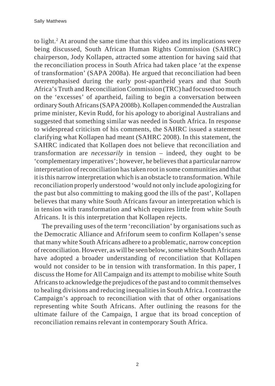to light.<sup>2</sup> At around the same time that this video and its implications were being discussed, South African Human Rights Commission (SAHRC) chairperson, Jody Kollapen, attracted some attention for having said that the reconciliation process in South Africa had taken place 'at the expense of transformation' (SAPA 2008a). He argued that reconciliation had been overemphasised during the early post-apartheid years and that South Africa's Truth and Reconciliation Commission (TRC) had focused too much on the 'excesses' of apartheid, failing to begin a conversation between ordinary South Africans (SAPA2008b). Kollapen commended the Australian prime minister, Kevin Rudd, for his apology to aboriginal Australians and suggested that something similar was needed in South Africa. In response to widespread criticism of his comments, the SAHRC issued a statement clarifying what Kollapen had meant (SAHRC 2008). In this statement, the SAHRC indicated that Kollapen does not believe that reconciliation and transformation are *necessarily* in tension – indeed, they ought to be 'complementary imperatives'; however, he believes that a particular narrow interpretation of reconciliation has taken root in some communities and that it is this narrow interpretation which is an obstacle to transformation. While reconciliation properly understood 'would not only include apologizing for the past but also committing to making good the ills of the past', Kollapen believes that many white South Africans favour an interpretation which is in tension with transformation and which requires little from white South Africans. It is this interpretation that Kollapen rejects.

The prevailing uses of the term 'reconciliation' by organisations such as the Democratic Alliance and Afriforum seem to confirm Kollapen's sense that many white South Africans adhere to a problematic, narrow conception of reconciliation. However, as will be seen below, some white South Africans have adopted a broader understanding of reconciliation that Kollapen would not consider to be in tension with transformation. In this paper, I discuss the Home for All Campaign and its attempt to mobilise white South Africans to acknowledge the prejudices of the past and to commit themselves to healing divisions and reducing inequalities in South Africa. I contrast the Campaign's approach to reconciliation with that of other organisations representing white South Africans. After outlining the reasons for the ultimate failure of the Campaign, I argue that its broad conception of reconciliation remains relevant in contemporary South Africa.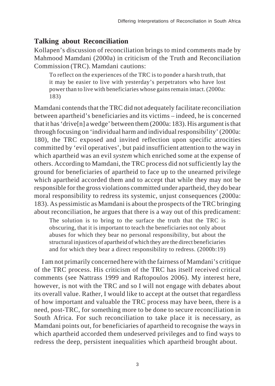#### **Talking about Reconciliation**

Kollapen's discussion of reconciliation brings to mind comments made by Mahmood Mamdani (2000a) in criticism of the Truth and Reconciliation Commission (TRC). Mamdani cautions:

To reflect on the experiences of the TRC is to ponder a harsh truth, that it may be easier to live with yesterday's perpetrators who have lost power than to live with beneficiaries whose gains remain intact. (2000a: 183)

Mamdani contends that the TRC did not adequately facilitate reconciliation between apartheid's beneficiaries and its victims – indeed, he is concerned that it has 'drive[n] a wedge' between them (2000a: 183). His argument is that through focusing on 'individual harm and individual responsibility' (2000a: 180), the TRC exposed and invited reflection upon specific atrocities committed by 'evil operatives', but paid insufficient attention to the way in which apartheid was an evil *system* which enriched some at the expense of others. According to Mamdani, the TRC process did not sufficiently lay the ground for beneficiaries of apartheid to face up to the unearned privilege which apartheid accorded them and to accept that while they may not be responsible for the gross violations committed under apartheid, they do bear moral responsibility to redress its systemic, unjust consequences (2000a: 183). As pessimistic as Mamdani is about the prospects of the TRC bringing about reconciliation, he argues that there is a way out of this predicament:

The solution is to bring to the surface the truth that the TRC is obscuring, that it is important to teach the beneficiaries not only about abuses for which they bear no personal responsibility, but about the structural injustices of apartheid of which they are the direct beneficiaries and for which they bear a direct responsibility to redress. (2000b:19)

I am not primarily concerned here with the fairness of Mamdani's critique of the TRC process. His criticism of the TRC has itself received critical comments (see Nattrass 1999 and Raftopoulos 2006). My interest here, however, is not with the TRC and so I will not engage with debates about its overall value. Rather, I would like to accept at the outset that regardless of how important and valuable the TRC process may have been, there is a need, post-TRC, for something more to be done to secure reconciliation in South Africa. For such reconciliation to take place it is necessary, as Mamdani points out, for beneficiaries of apartheid to recognise the ways in which apartheid accorded them undeserved privileges and to find ways to redress the deep, persistent inequalities which apartheid brought about.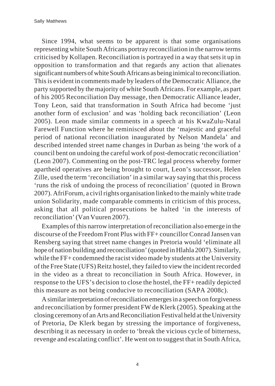Sally Matthews

Since 1994, what seems to be apparent is that some organisations representing white South Africans portray reconciliation in the narrow terms criticised by Kollapen. Reconciliation is portrayed in a way that sets it up in opposition to transformation and that regards any action that alienates significant numbers of white South Africans as being inimical to reconciliation. This is evident in comments made by leaders of the Democratic Alliance, the party supported by the majority of white South Africans. For example, as part of his 2005 Reconciliation Day message, then Democratic Alliance leader, Tony Leon, said that transformation in South Africa had become 'just another form of exclusion' and was 'holding back reconciliation' (Leon 2005). Leon made similar comments in a speech at his KwaZulu-Natal Farewell Function where he reminisced about the 'majestic and graceful period of national reconciliation inaugurated by Nelson Mandela' and described intended street name changes in Durban as being 'the work of a council bent on undoing the careful work of post-democratic reconciliation' (Leon 2007). Commenting on the post-TRC legal process whereby former apartheid operatives are being brought to court, Leon's successor, Helen Zille, used the term 'reconciliation' in a similar way saying that this process 'runs the risk of undoing the process of reconciliation' (quoted in Brown 2007). AfriForum, a civil rights organisation linked to the mainly white trade union Solidarity, made comparable comments in criticism of this process, asking that all political prosecutions be halted 'in the interests of reconciliation' (Van Vuuren 2007).

Examples of this narrow interpretation of reconciliation also emerge in the discourse of the Freedom Front Plus with FF+ councillor Conrad Jansen van Rensberg saying that street name changes in Pretoria would 'eliminate all hope of nation building and reconciliation' (quoted in Hlahla 2007). Similarly, while the FF+ condemned the racist video made by students at the University of the Free State (UFS) Reitz hostel, they failed to view the incident recorded in the video as a threat to reconciliation in South Africa. However, in response to the UFS's decision to close the hostel, the FF+ readily depicted this measure as not being conducive to reconciliation (SAPA 2008c).

A similar interpretation of reconciliation emerges in a speech on forgiveness and reconciliation by former president FW de Klerk (2005). Speaking at the closing ceremony of an Arts and Reconciliation Festival held at the University of Pretoria, De Klerk began by stressing the importance of forgiveness, describing it as necessary in order to 'break the vicious cycle of bitterness, revenge and escalating conflict'. He went on to suggest that in South Africa,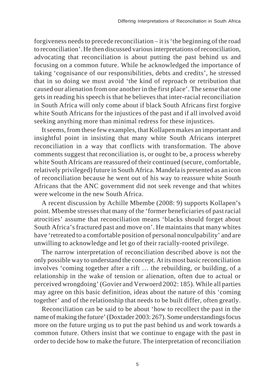forgiveness needs to precede reconciliation – it is 'the beginning of the road to reconciliation'. He then discussed various interpretations of reconciliation, advocating that reconciliation is about putting the past behind us and focusing on a common future. While he acknowledged the importance of taking 'cognisance of our responsibilities, debts and credits', he stressed that in so doing we must avoid 'the kind of reproach or retribution that caused our alienation from one another in the first place'. The sense that one gets in reading his speech is that he believes that inter-racial reconciliation in South Africa will only come about if black South Africans first forgive white South Africans for the injustices of the past and if all involved avoid seeking anything more than minimal redress for these injustices.

It seems, from these few examples, that Kollapen makes an important and insightful point in insisting that many white South Africans interpret reconciliation in a way that conflicts with transformation. The above comments suggest that reconciliation is, or ought to be, a process whereby white South Africans are reassured of their continued (secure, comfortable, relatively privileged) future in South Africa. Mandela is presented as an icon of reconciliation because he went out of his way to reassure white South Africans that the ANC government did not seek revenge and that whites were welcome in the new South Africa.

A recent discussion by Achille Mbembe (2008: 9) supports Kollapen's point. Mbembe stresses that many of the 'former beneficiaries of past racial atrocities' assume that reconciliation means 'blacks should forget about South Africa's fractured past and move on'. He maintains that many whites have 'retreated to a comfortable position of personal nonculpability' and are unwilling to acknowledge and let go of their racially-rooted privilege.

The narrow interpretation of reconciliation described above is not the only possible way to understand the concept. At its most basic reconciliation involves 'coming together after a rift … the rebuilding, or building, of a relationship in the wake of tension or alienation, often due to actual or perceived wrongdoing' (Govier and Verwoerd 2002: 185). While all parties may agree on this basic definition, ideas about the nature of this 'coming together' and of the relationship that needs to be built differ, often greatly.

Reconciliation can be said to be about 'how to recollect the past in the name of making the future' (Doxtader 2003: 267). Some understandings focus more on the future urging us to put the past behind us and work towards a common future. Others insist that we continue to engage with the past in order to decide how to make the future. The interpretation of reconciliation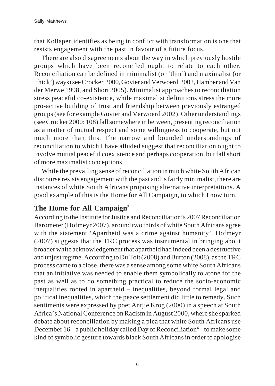that Kollapen identifies as being in conflict with transformation is one that resists engagement with the past in favour of a future focus.

There are also disagreements about the way in which previously hostile groups which have been reconciled ought to relate to each other. Reconciliation can be defined in minimalist (or 'thin') and maximalist (or 'thick') ways (see Crocker 2000, Govier and Verwoerd 2002, Hamber and Van der Merwe 1998, and Short 2005). Minimalist approaches to reconciliation stress peaceful co-existence, while maximalist definitions stress the more pro-active building of trust and friendship between previously estranged groups (see for example Govier and Verwoerd 2002). Other understandings (see Crocker 2000: 108) fall somewhere in between, presenting reconciliation as a matter of mutual respect and some willingness to cooperate, but not much more than this. The narrow and bounded understandings of reconciliation to which I have alluded suggest that reconciliation ought to involve mutual peaceful coexistence and perhaps cooperation, but fall short of more maximalist conceptions.

While the prevailing sense of reconciliation in much white South African discourse resists engagement with the past and is fairly minimalist, there are instances of white South Africans proposing alternative interpretations. A good example of this is the Home for All Campaign, to which I now turn.

# **The Home for All Campaign**<sup>3</sup>

According to the Institute for Justice and Reconciliation's 2007 Reconciliation Barometer (Hofmeyr 2007), around two thirds of white South Africans agree with the statement 'Apartheid was a crime against humanity'. Hofmeyr (2007) suggests that the TRC process was instrumental in bringing about broader white acknowledgement that apartheid had indeed been a destructive and unjust regime. According to Du Toit (2008) and Burton (2008), as the TRC process came to a close, there was a sense among some white South Africans that an initiative was needed to enable them symbolically to atone for the past as well as to do something practical to reduce the socio-economic inequalities rooted in apartheid – inequalities, beyond formal legal and political inequalities, which the peace settlement did little to remedy. Such sentiments were expressed by poet Antjie Krog (2000) in a speech at South Africa's National Conference on Racism in August 2000, where she sparked debate about reconciliation by making a plea that white South Africans use December 16 – a public holiday called Day of Reconciliation<sup>4</sup> – to make some kind of symbolic gesture towards black South Africans in order to apologise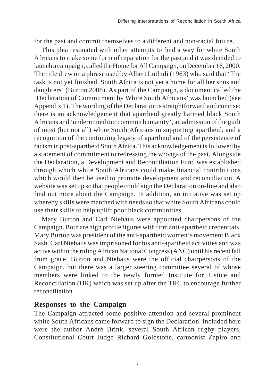for the past and commit themselves to a different and non-racial future.

This plea resonated with other attempts to find a way for white South Africans to make some form of reparation for the past and it was decided to launch a campaign, called the Home for All Campaign, on December 16, 2000. The title drew on a phrase used by Albert Luthuli (1963) who said that 'The task is not yet finished. South Africa is not yet a home for all her sons and daughters' (Burton 2008). As part of the Campaign, a document called the 'Declaration of Commitment by White South Africans' was launched (see Appendix 1). The wording of the Declaration is straightforward and concise: there is an acknowledgement that apartheid greatly harmed black South Africans and 'undermined our common humanity', an admission of the guilt of most (but not all) white South Africans in supporting apartheid, and a recognition of the continuing legacy of apartheid and of the persistence of racism in post-apartheid South Africa. This acknowledgement is followed by a statement of commitment to redressing the wrongs of the past. Alongside the Declaration, a Development and Reconciliation Fund was established through which white South Africans could make financial contributions which would then be used to promote development and reconciliation. A website was set up so that people could sign the Declaration on-line and also find out more about the Campaign. In addition, an initiative was set up whereby skills were matched with needs so that white South Africans could use their skills to help uplift poor black communities.

Mary Burton and Carl Niehaus were appointed chairpersons of the Campaign. Both are high profile figures with firm anti-apartheid credentials. Mary Burton was president of the anti-apartheid women's movement Black Sash. Carl Niehaus was imprisoned for his anti-apartheid activities and was active within the ruling African National Congress (ANC) until his recent fall from grace. Burton and Niehaus were the official chairpersons of the Campaign, but there was a larger steering committee several of whose members were linked to the newly formed Institute for Justice and Reconciliation (IJR) which was set up after the TRC to encourage further reconciliation.

#### **Responses to the Campaign**

The Campaign attracted some positive attention and several prominent white South Africans came forward to sign the Declaration. Included here were the author André Brink, several South African rugby players, Constitutional Court Judge Richard Goldstone, cartoonist Zapiro and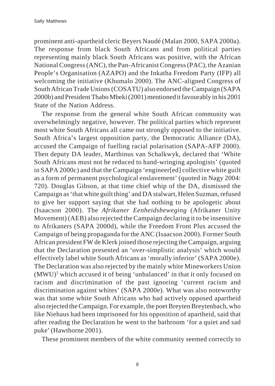prominent anti-apartheid cleric Beyers Naudé (Malan 2000, SAPA 2000a). The response from black South Africans and from political parties representing mainly black South Africans was positive, with the African National Congress (ANC), the Pan-Africanist Congress (PAC), the Azanian People's Organisation (AZAPO) and the Inkatha Freedom Party (IFP) all welcoming the initiative (Khumalo 2000). The ANC-aligned Congress of South African Trade Unions (COSATU) also endorsed the Campaign (SAPA 2000b) and President Thabo Mbeki (2001) mentioned it favourably in his 2001 State of the Nation Address.

The response from the general white South African community was overwhelmingly negative, however. The political parties which represent most white South Africans all came out strongly opposed to the initiative. South Africa's largest opposition party, the Democratic Alliance (DA), accused the Campaign of fuelling racial polarisation (SAPA-AFP 2000). Then deputy DA leader, Marthinus van Schalkwyk, declared that 'White South Africans must not be reduced to hand-wringing apologists' (quoted in SAPA 2000c) and that the Campaign 'engineer[ed] collective white guilt as a form of permanent psychological enslavement' (quoted in Nagy 2004: 720). Douglas Gibson, at that time chief whip of the DA, dismissed the Campaign as 'that white guilt thing' and DA stalwart, Helen Suzman, refused to give her support saying that she had nothing to be apologetic about (Isaacson 2000). The *Afrikaner Eenheidsbeweging* (Afrikaner Unity Movement) (AEB) also rejected the Campaign declaring it to be insensitive to Afrikaners (SAPA 2000d), while the Freedom Front Plus accused the Campaign of being propaganda for the ANC (Isaacson 2000). Former South African president FW de Klerk joined those rejecting the Campaign, arguing that the Declaration presented an 'over-simplistic analysis' which would effectively label white South Africans as 'morally inferior' (SAPA 2000e). The Declaration was also rejected by the mainly white Mineworkers Union (MWU)<sup>5</sup> which accused it of being 'unbalanced' in that it only focused on racism and discrimination of the past ignoring 'current racism and discrimination against whites' (SAPA 2000e). What was also noteworthy was that some white South Africans who had actively opposed apartheid also rejected the Campaign. For example, the poet Breyten Breytenbach, who like Niehaus had been imprisoned for his opposition of apartheid, said that after reading the Declaration he went to the bathroom 'for a quiet and sad puke' (Hawthorne 2001).

These prominent members of the white community seemed correctly to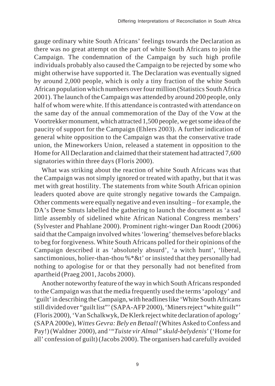gauge ordinary white South Africans' feelings towards the Declaration as there was no great attempt on the part of white South Africans to join the Campaign. The condemnation of the Campaign by such high profile individuals probably also caused the Campaign to be rejected by some who might otherwise have supported it. The Declaration was eventually signed by around 2,000 people, which is only a tiny fraction of the white South African population which numbers over four million (Statistics South Africa 2001). The launch of the Campaign was attended by around 200 people, only half of whom were white. If this attendance is contrasted with attendance on the same day of the annual commemoration of the Day of the Vow at the Voortrekker monument, which attracted 1,500 people, we get some idea of the paucity of support for the Campaign (Ehlers 2003). A further indication of general white opposition to the Campaign was that the conservative trade union, the Mineworkers Union, released a statement in opposition to the Home for All Declaration and claimed that their statement had attracted 7,600 signatories within three days (Floris 2000).

What was striking about the reaction of white South Africans was that the Campaign was not simply ignored or treated with apathy, but that it was met with great hostility. The statements from white South African opinion leaders quoted above are quite strongly negative towards the Campaign. Other comments were equally negative and even insulting – for example, the DA's Dene Smuts labelled the gathering to launch the document as 'a sad little assembly of sidelined white African National Congress members' (Sylvester and Phahlane 2000). Prominent right-winger Dan Roodt (2006) said that the Campaign involved whites 'lowering' themselves before blacks to beg for forgiveness. White South Africans polled for their opinions of the Campaign described it as 'absolutely absurd', 'a witch hunt', 'liberal, sanctimonious, holier-than-thou %\*&t' or insisted that they personally had nothing to apologise for or that they personally had not benefited from apartheid (Praeg 2001, Jacobs 2000).

Another noteworthy feature of the way in which South Africans responded to the Campaign was that the media frequently used the terms 'apology' and 'guilt' in describing the Campaign, with headlines like 'White South Africans still divided over "guilt list"' (SAPA-AFP 2000), 'Miners reject "white guilt"' (Floris 2000), 'Van Schalkwyk, De Klerk reject white declaration of apology' (SAPA 2000e), *Wittes Gevra: Bely en Betaal!* (Whites Asked to Confess and Pay!) (Waldner 2000), and '"*Tuiste vir Almal" skuld-belydenis*' ('Home for all' confession of guilt) (Jacobs 2000). The organisers had carefully avoided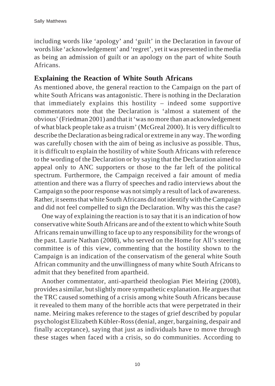including words like 'apology' and 'guilt' in the Declaration in favour of words like 'acknowledgement' and 'regret', yet it was presented in the media as being an admission of guilt or an apology on the part of white South Africans.

### **Explaining the Reaction of White South Africans**

As mentioned above, the general reaction to the Campaign on the part of white South Africans was antagonistic. There is nothing in the Declaration that immediately explains this hostility – indeed some supportive commentators note that the Declaration is 'almost a statement of the obvious' (Friedman 2001) and that it 'was no more than an acknowledgement of what black people take as a truism' (McGreal 2000). It is very difficult to describe the Declaration as being radical or extreme in any way. The wording was carefully chosen with the aim of being as inclusive as possible. Thus, it is difficult to explain the hostility of white South Africans with reference to the wording of the Declaration or by saying that the Declaration aimed to appeal only to ANC supporters or those to the far left of the political spectrum. Furthermore, the Campaign received a fair amount of media attention and there was a flurry of speeches and radio interviews about the Campaign so the poor response was not simply a result of lack of awareness. Rather, it seems that white South Africans did not identify with the Campaign and did not feel compelled to sign the Declaration. Why was this the case?

One way of explaining the reaction is to say that it is an indication of how conservative white South Africans are and of the extent to which white South Africans remain unwilling to face up to any responsibility for the wrongs of the past. Laurie Nathan (2008), who served on the Home for All's steering committee is of this view, commenting that the hostility shown to the Campaign is an indication of the conservatism of the general white South African community and the unwillingness of many white South Africans to admit that they benefited from apartheid.

Another commentator, anti-apartheid theologian Piet Meiring (2008), provides a similar, but slightly more sympathetic explanation. He argues that the TRC caused something of a crisis among white South Africans because it revealed to them many of the horrible acts that were perpetrated in their name. Meiring makes reference to the stages of grief described by popular psychologist Elizabeth Kübler-Ross (denial, anger, bargaining, despair and finally acceptance), saying that just as individuals have to move through these stages when faced with a crisis, so do communities. According to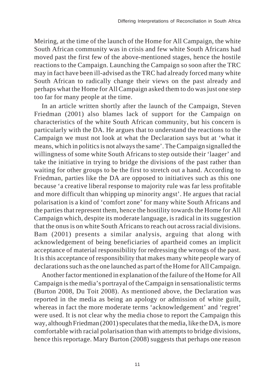Meiring, at the time of the launch of the Home for All Campaign, the white South African community was in crisis and few white South Africans had moved past the first few of the above-mentioned stages, hence the hostile reactions to the Campaign. Launching the Campaign so soon after the TRC may in fact have been ill-advised as the TRC had already forced many white South African to radically change their views on the past already and perhaps what the Home for All Campaign asked them to do was just one step too far for many people at the time.

In an article written shortly after the launch of the Campaign, Steven Friedman (2001) also blames lack of support for the Campaign on characteristics of the white South African community, but his concern is particularly with the DA. He argues that to understand the reactions to the Campaign we must not look at what the Declaration says but at 'what it means, which in politics is not always the same'. The Campaign signalled the willingness of some white South Africans to step outside their 'laager' and take the initiative in trying to bridge the divisions of the past rather than waiting for other groups to be the first to stretch out a hand. According to Friedman, parties like the DA are opposed to initiatives such as this one because 'a creative liberal response to majority rule was far less profitable and more difficult than whipping up minority angst'. He argues that racial polarisation is a kind of 'comfort zone' for many white South Africans and the parties that represent them, hence the hostility towards the Home for All Campaign which, despite its moderate language, is radical in its suggestion that the onus is on white South Africans to reach out across racial divisions. Bam (2001) presents a similar analysis, arguing that along with acknowledgement of being beneficiaries of apartheid comes an implicit acceptance of material responsibility for redressing the wrongs of the past. It is this acceptance of responsibility that makes many white people wary of declarations such as the one launched as part of the Home for All Campaign.

Another factor mentioned in explanation of the failure of the Home for All Campaign is the media's portrayal of the Campaign in sensationalistic terms (Burton 2008, Du Toit 2008). As mentioned above, the Declaration was reported in the media as being an apology or admission of white guilt, whereas in fact the more moderate terms 'acknowledgement' and 'regret' were used. It is not clear why the media chose to report the Campaign this way, although Friedman (2001) speculates that the media, like the DA, is more comfortable with racial polarisation than with attempts to bridge divisions, hence this reportage. Mary Burton (2008) suggests that perhaps one reason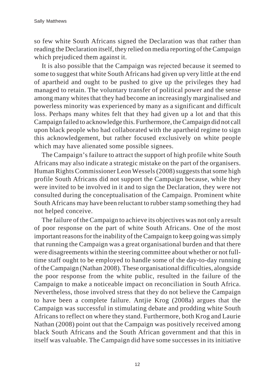so few white South Africans signed the Declaration was that rather than reading the Declaration itself, they relied on media reporting of the Campaign which prejudiced them against it.

It is also possible that the Campaign was rejected because it seemed to some to suggest that white South Africans had given up very little at the end of apartheid and ought to be pushed to give up the privileges they had managed to retain. The voluntary transfer of political power and the sense among many whites that they had become an increasingly marginalised and powerless minority was experienced by many as a significant and difficult loss. Perhaps many whites felt that they had given up a lot and that this Campaign failed to acknowledge this. Furthermore, the Campaign did not call upon black people who had collaborated with the apartheid regime to sign this acknowledgement, but rather focused exclusively on white people which may have alienated some possible signees.

The Campaign's failure to attract the support of high profile white South Africans may also indicate a strategic mistake on the part of the organisers. Human Rights Commissioner Leon Wessels (2008) suggests that some high profile South Africans did not support the Campaign because, while they were invited to be involved in it and to sign the Declaration, they were not consulted during the conceptualisation of the Campaign. Prominent white South Africans may have been reluctant to rubber stamp something they had not helped conceive.

The failure of the Campaign to achieve its objectives was not only a result of poor response on the part of white South Africans. One of the most important reasons for the inability of the Campaign to keep going was simply that running the Campaign was a great organisational burden and that there were disagreements within the steering committee about whether or not fulltime staff ought to be employed to handle some of the day-to-day running of the Campaign (Nathan 2008). These organisational difficulties, alongside the poor response from the white public, resulted in the failure of the Campaign to make a noticeable impact on reconciliation in South Africa. Nevertheless, those involved stress that they do not believe the Campaign to have been a complete failure. Antjie Krog (2008a) argues that the Campaign was successful in stimulating debate and prodding white South Africans to reflect on where they stand. Furthermore, both Krog and Laurie Nathan (2008) point out that the Campaign was positively received among black South Africans and the South African government and that this in itself was valuable. The Campaign did have some successes in its initiative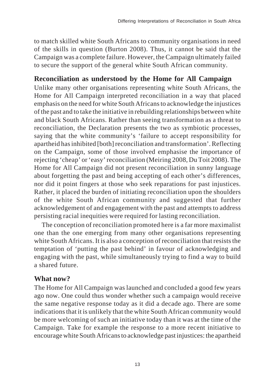to match skilled white South Africans to community organisations in need of the skills in question (Burton 2008). Thus, it cannot be said that the Campaign was a complete failure. However, the Campaign ultimately failed to secure the support of the general white South African community.

# **Reconciliation as understood by the Home for All Campaign**

Unlike many other organisations representing white South Africans, the Home for All Campaign interpreted reconciliation in a way that placed emphasis on the need for white South Africans to acknowledge the injustices of the past and to take the initiative in rebuilding relationships between white and black South Africans. Rather than seeing transformation as a threat to reconciliation, the Declaration presents the two as symbiotic processes, saying that the white community's 'failure to accept responsibility for apartheid has inhibited [both] reconciliation and transformation'. Reflecting on the Campaign, some of those involved emphasise the importance of rejecting 'cheap' or 'easy' reconciliation (Meiring 2008, Du Toit 2008). The Home for All Campaign did not present reconciliation in sunny language about forgetting the past and being accepting of each other's differences, nor did it point fingers at those who seek reparations for past injustices. Rather, it placed the burden of initiating reconciliation upon the shoulders of the white South African community and suggested that further acknowledgement of and engagement with the past and attempts to address persisting racial inequities were required for lasting reconciliation.

The conception of reconciliation promoted here is a far more maximalist one than the one emerging from many other organisations representing white South Africans. It is also a conception of reconciliation that resists the temptation of 'putting the past behind' in favour of acknowledging and engaging with the past, while simultaneously trying to find a way to build a shared future.

# **What now?**

The Home for All Campaign was launched and concluded a good few years ago now. One could thus wonder whether such a campaign would receive the same negative response today as it did a decade ago. There are some indications that it is unlikely that the white South African community would be more welcoming of such an initiative today than it was at the time of the Campaign. Take for example the response to a more recent initiative to encourage white South Africans to acknowledge past injustices: the apartheid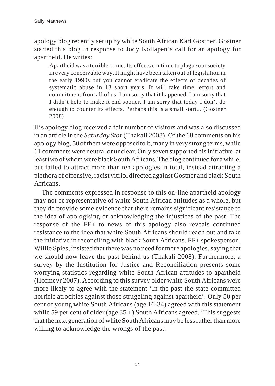apology blog recently set up by white South African Karl Gostner. Gostner started this blog in response to Jody Kollapen's call for an apology for apartheid. He writes:

Apartheid was a terrible crime. Its effects continue to plague our society in every conceivable way. It might have been taken out of legislation in the early 1990s but you cannot eradicate the effects of decades of systematic abuse in 13 short years. It will take time, effort and commitment from all of us. I am sorry that it happened. I am sorry that I didn't help to make it end sooner. I am sorry that today I don't do enough to counter its effects. Perhaps this is a small start... (Gostner 2008)

His apology blog received a fair number of visitors and was also discussed in an article in the *Saturday Star* (Thakali 2008). Of the 68 comments on his apology blog, 50 of them were opposed to it, many in very strong terms, while 11 comments were neutral or unclear. Only seven supported his initiative, at least two of whom were black South Africans. The blog continued for a while, but failed to attract more than ten apologies in total, instead attracting a plethora of offensive, racist vitriol directed against Gostner and black South Africans.

The comments expressed in response to this on-line apartheid apology may not be representative of white South African attitudes as a whole, but they do provide some evidence that there remains significant resistance to the idea of apologising or acknowledging the injustices of the past. The response of the FF+ to news of this apology also reveals continued resistance to the idea that white South Africans should reach out and take the initiative in reconciling with black South Africans. FF+ spokesperson, Willie Spies, insisted that there was no need for more apologies, saying that we should now leave the past behind us (Thakali 2008). Furthermore, a survey by the Institution for Justice and Reconciliation presents some worrying statistics regarding white South African attitudes to apartheid (Hofmeyr 2007). According to this survey older white South Africans were more likely to agree with the statement 'In the past the state committed horrific atrocities against those struggling against apartheid'. Only 50 per cent of young white South Africans (age 16-34) agreed with this statement while 59 per cent of older (age  $35 +$ ) South Africans agreed.<sup>6</sup> This suggests that the next generation of white South Africans may be less rather than more willing to acknowledge the wrongs of the past.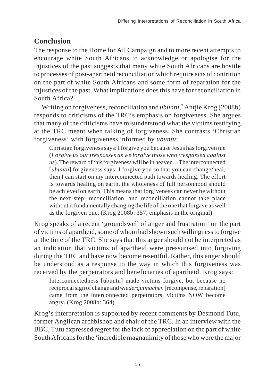# **Conclusion**

The response to the Home for All Campaign and to more recent attempts to encourage white South Africans to acknowledge or apologise for the injustices of the past suggests that many white South Africans are hostile to processes of post-apartheid reconciliation which require acts of contrition on the part of white South Africans and some form of reparation for the injustices of the past. What implications does this have for reconciliation in South Africa?

Writing on forgiveness, reconciliation and *ubuntu*, 7 Antjie Krog (2008b) responds to criticisms of the TRC's emphasis on forgiveness. She argues that many of the criticisms have misunderstood what the victims testifying at the TRC meant when talking of forgiveness. She contrasts 'Christian forgiveness' with forgiveness informed by *ubuntu*:

Christian forgiveness says: I forgive you because Jesus has forgiven me (*Forgive us our trespasses as we forgive those who trespassed against us*). The reward of this forgiveness will be in heaven…The interconnected [*ubuntu*] forgiveness says: I forgive you so that you can change/heal, then I can start on my interconnected path towards healing. The effort is towards healing on earth, the wholeness of full personhood should be achieved on earth. This means that forgiveness can never be without the next step: reconciliation, and reconciliation cannot take place without it fundamentally changing the life of the one that forgave as well as the forgiven one. (Krog 2008b: 357, emphasis in the original)

Krog speaks of a recent 'groundswell of anger and frustration' on the part of victims of apartheid, some of whom had shown such willingness to forgive at the time of the TRC. She says that this anger should not be interpreted as an indication that victims of apartheid were pressurised into forgiving during the TRC and have now become resentful. Rather, this anger should be understood as a response to the way in which this forgiveness was received by the perpetrators and beneficiaries of apartheid. Krog says:

Interconnectedness [ubuntu] made victims forgive, but because no reciprocal sign of change and *wiedergutmachen* [recompense, reparation] came from the interconnected perpetrators, victims NOW become angry. (Krog 2008b: 364)

Krog's interpretation is supported by recent comments by Desmond Tutu, former Anglican archbishop and chair of the TRC. In an interview with the BBC, Tutu expressed regret for the lack of appreciation on the part of white South Africans for the 'incredible magnanimity of those who were the major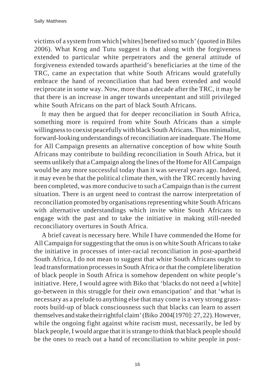victims of a system from which [whites] benefited so much' (quoted in Biles 2006). What Krog and Tutu suggest is that along with the forgiveness extended to particular white perpetrators and the general attitude of forgiveness extended towards apartheid's beneficiaries at the time of the TRC, came an expectation that white South Africans would gratefully embrace the hand of reconciliation that had been extended and would reciprocate in some way. Now, more than a decade after the TRC, it may be that there is an increase in anger towards unrepentant and still privileged white South Africans on the part of black South Africans.

It may then be argued that for deeper reconciliation in South Africa, something more is required from white South Africans than a simple willingness to coexist peacefully with black South Africans. Thus minimalist, forward-looking understandings of reconciliation are inadequate. The Home for All Campaign presents an alternative conception of how white South Africans may contribute to building reconciliation in South Africa, but it seems unlikely that a Campaign along the lines of the Home for All Campaign would be any more successful today than it was several years ago. Indeed, it may even be that the political climate then, with the TRC recently having been completed, was more conducive to such a Campaign than is the current situation. There is an urgent need to contrast the narrow interpretation of reconciliation promoted by organisations representing white South Africans with alternative understandings which invite white South Africans to engage with the past and to take the initiative in making still-needed reconciliatory overtures in South Africa.

A brief caveat is necessary here. While I have commended the Home for All Campaign for suggesting that the onus is on white South Africans to take the initiative in processes of inter-racial reconciliation in post-apartheid South Africa, I do not mean to suggest that white South Africans ought to lead transformation processes in South Africa or that the complete liberation of black people in South Africa is somehow dependent on white people's initiative. Here, I would agree with Biko that 'blacks do not need a [white] go-between in this struggle for their own emancipation' and that 'what is necessary as a prelude to anything else that may come is a very strong grassroots build-up of black consciousness such that blacks can learn to assert themselves and stake their rightful claim' (Biko 2004[1970]: 27, 22). However, while the ongoing fight against white racism must, necessarily, be led by black people, I would argue that it is strange to think that black people should be the ones to reach out a hand of reconciliation to white people in post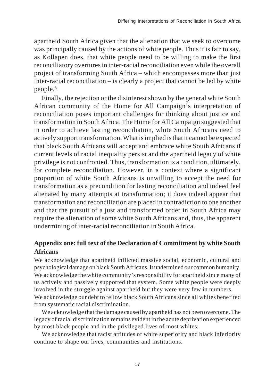apartheid South Africa given that the alienation that we seek to overcome was principally caused by the actions of white people. Thus it is fair to say, as Kollapen does, that white people need to be willing to make the first reconciliatory overtures in inter-racial reconciliation even while the overall project of transforming South Africa – which encompasses more than just inter-racial reconciliation – is clearly a project that cannot be led by white people.8

Finally, the rejection or the disinterest shown by the general white South African community of the Home for All Campaign's interpretation of reconciliation poses important challenges for thinking about justice and transformation in South Africa. The Home for All Campaign suggested that in order to achieve lasting reconciliation, white South Africans need to actively support transformation. What is implied is that it cannot be expected that black South Africans will accept and embrace white South Africans if current levels of racial inequality persist and the apartheid legacy of white privilege is not confronted. Thus, transformation is a condition, ultimately, for complete reconciliation. However, in a context where a significant proportion of white South Africans is unwilling to accept the need for transformation as a precondition for lasting reconciliation and indeed feel alienated by many attempts at transformation; it does indeed appear that transformation and reconciliation are placed in contradiction to one another and that the pursuit of a just and transformed order in South Africa may require the alienation of some white South Africans and, thus, the apparent undermining of inter-racial reconciliation in South Africa.

### **Appendix one: full text of the Declaration of Commitment by white South Africans**

We acknowledge that apartheid inflicted massive social, economic, cultural and psychological damage on black South Africans. It undermined our common humanity. We acknowledge the white community's responsibility for apartheid since many of us actively and passively supported that system. Some white people were deeply involved in the struggle against apartheid but they were very few in numbers. We acknowledge our debt to fellow black South Africans since all whites benefited from systematic racial discrimination.

We acknowledge that the damage caused by apartheid has not been overcome. The legacy of racial discrimination remains evident in the acute deprivation experienced by most black people and in the privileged lives of most whites.

We acknowledge that racist attitudes of white superiority and black inferiority continue to shape our lives, communities and institutions.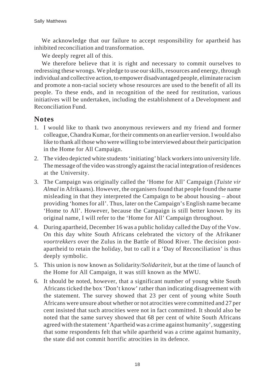We acknowledge that our failure to accept responsibility for apartheid has inhibited reconciliation and transformation.

We deeply regret all of this.

We therefore believe that it is right and necessary to commit ourselves to redressing these wrongs. We pledge to use our skills, resources and energy, through individual and collective action, to empower disadvantaged people, eliminate racism and promote a non-racial society whose resources are used to the benefit of all its people. To these ends, and in recognition of the need for restitution, various initiatives will be undertaken, including the establishment of a Development and Reconciliation Fund.

#### **Notes**

- 1. I would like to thank two anonymous reviewers and my friend and former colleague, Chandra Kumar, for their comments on an earlier version. I would also like to thank all those who were willing to be interviewed about their participation in the Home for All Campaign.
- 2. The video depicted white students 'initiating' black workers into university life. The message of the video was strongly against the racial integration of residences at the University.
- 3. The Campaign was originally called the 'Home for All' Campaign (*Tuiste vir Almal* in Afrikaans). However, the organisers found that people found the name misleading in that they interpreted the Campaign to be about housing – about providing 'homes for all'. Thus, later on the Campaign's English name became 'Home to All'. However, because the Campaign is still better known by its original name, I will refer to the 'Home for All' Campaign throughout.
- 4. During apartheid, December 16 was a public holiday called the Day of the Vow. On this day white South Africans celebrated the victory of the Afrikaner *voortrekkers* over the Zulus in the Battle of Blood River. The decision postapartheid to retain the holiday, but to call it a 'Day of Reconciliation' is thus deeply symbolic.
- 5. This union is now known as Solidarity/*Solidariteit*, but at the time of launch of the Home for All Campaign, it was still known as the MWU.
- 6. It should be noted, however, that a significant number of young white South Africans ticked the box 'Don't know' rather than indicating disagreement with the statement. The survey showed that 23 per cent of young white South Africans were unsure about whether or not atrocities were committed and 27 per cent insisted that such atrocities were not in fact committed. It should also be noted that the same survey showed that 68 per cent of white South Africans agreed with the statement 'Apartheid was a crime against humanity', suggesting that some respondents felt that while apartheid was a crime against humanity, the state did not commit horrific atrocities in its defence.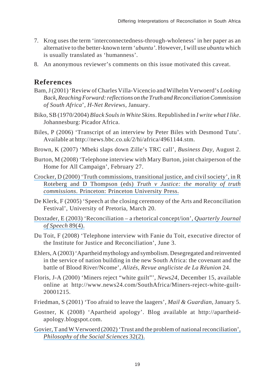- 7. Krog uses the term 'interconnectedness-through-wholeness' in her paper as an alternative to the better-known term '*ubuntu'*. However, I will use *ubuntu* which is usually translated as 'humanness'.
- 8. An anonymous reviewer's comments on this issue motivated this caveat.

# **References**

- Bam, J (2001) 'Review of Charles Villa-Vicencio and Wilhelm Verwoerd's *Looking Back, Reaching Forward: reflections on the Truth and Reconciliation Commission of South Africa*', *H-Net Reviews*, January.
- Biko, SB (1970/2004) *Black Souls in White Skins*. Republished in *I write what I like*. Johannesburg: Picador Africa.
- Biles, P (2006) 'Transcript of an interview by Peter Biles with Desmond Tutu'. Available at http://news.bbc.co.uk/2/hi/africa/4961144.stm.
- Brown, K (2007) 'Mbeki slaps down Zille's TRC call', *Business Day*, August 2.
- Burton, M (2008) 'Telephone interview with Mary Burton, joint chairperson of the Home for All Campaign', February 27.
- [Crocker, D \(2000\) 'Truth commissions, transitional justice, and civil society', in R](https://www.researchgate.net/publication/292490789_Truth_commissions_transitional_justice_and_civil_society?el=1_x_8&enrichId=rgreq-a28ce8ba70b5be7513acacec74d91c82-XXX&enrichSource=Y292ZXJQYWdlOzIzNjcyMzUyNDtBUzoyMDI3OTk0NTY0OTM1NzRAMTQyNTM2MjU2NjUxMA==) Roteberg and D Thompson (eds) *[Truth v Justice: the morality of truth](https://www.researchgate.net/publication/292490789_Truth_commissions_transitional_justice_and_civil_society?el=1_x_8&enrichId=rgreq-a28ce8ba70b5be7513acacec74d91c82-XXX&enrichSource=Y292ZXJQYWdlOzIzNjcyMzUyNDtBUzoyMDI3OTk0NTY0OTM1NzRAMTQyNTM2MjU2NjUxMA==) commissions*[. Princeton: Princeton University Press.](https://www.researchgate.net/publication/292490789_Truth_commissions_transitional_justice_and_civil_society?el=1_x_8&enrichId=rgreq-a28ce8ba70b5be7513acacec74d91c82-XXX&enrichSource=Y292ZXJQYWdlOzIzNjcyMzUyNDtBUzoyMDI3OTk0NTY0OTM1NzRAMTQyNTM2MjU2NjUxMA==)
- De Klerk, F (2005) 'Speech at the closing ceremony of the Arts and Reconciliation Festival', University of Pretoria, March 20.
- [Doxtader, E \(2003\) 'Reconciliation a rhetorical concept/ion',](https://www.researchgate.net/publication/271666265_Reconciliation-a_rhetorical_conception?el=1_x_8&enrichId=rgreq-a28ce8ba70b5be7513acacec74d91c82-XXX&enrichSource=Y292ZXJQYWdlOzIzNjcyMzUyNDtBUzoyMDI3OTk0NTY0OTM1NzRAMTQyNTM2MjU2NjUxMA==) *Quarterly Journal [of Speech](https://www.researchgate.net/publication/271666265_Reconciliation-a_rhetorical_conception?el=1_x_8&enrichId=rgreq-a28ce8ba70b5be7513acacec74d91c82-XXX&enrichSource=Y292ZXJQYWdlOzIzNjcyMzUyNDtBUzoyMDI3OTk0NTY0OTM1NzRAMTQyNTM2MjU2NjUxMA==)* 89(4).
- Du Toit, F (2008) 'Telephone interview with Fanie du Toit, executive director of the Institute for Justice and Reconciliation', June 3.
- Ehlers, A (2003) 'Apartheid mythology and symbolism. Desegregated and reinvented in the service of nation building in the new South Africa: the covenant and the battle of Blood River/Ncome', *Alizés, Revue angliciste de La Réunion* 24.
- Floris, J-A (2000) 'Miners reject "white guilt"', *News24*, December 15, available online at http://www.news24.com/SouthAfrica/Miners-reject-white-guilt-20001215.
- Friedman, S (2001) 'Too afraid to leave the laagers', *Mail & Guardian*, January 5.
- Gostner, K (2008) 'Apartheid apology'. Blog available at http://apartheidapology.blogspot.com.
- [Govier, T and W Verwoerd \(2002\) 'Trust and the problem of national reconciliation',](https://www.researchgate.net/publication/240698919_Trust_and_the_Problem_of_National_Reconciliation?el=1_x_8&enrichId=rgreq-a28ce8ba70b5be7513acacec74d91c82-XXX&enrichSource=Y292ZXJQYWdlOzIzNjcyMzUyNDtBUzoyMDI3OTk0NTY0OTM1NzRAMTQyNTM2MjU2NjUxMA==) *[Philosophy of the Social Sciences](https://www.researchgate.net/publication/240698919_Trust_and_the_Problem_of_National_Reconciliation?el=1_x_8&enrichId=rgreq-a28ce8ba70b5be7513acacec74d91c82-XXX&enrichSource=Y292ZXJQYWdlOzIzNjcyMzUyNDtBUzoyMDI3OTk0NTY0OTM1NzRAMTQyNTM2MjU2NjUxMA==)* 32(2).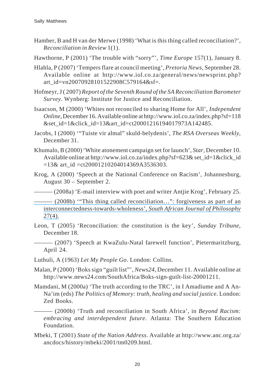- Hamber, B and H van der Merwe (1998) 'What is this thing called reconciliation?', *Reconciliation in Review* 1(1).
- Hawthorne, P (2001) 'The trouble with "sorry"', *Time Europe* 157(1), January 8.
- Hlahla, P (2007) 'Tempers flare at council meeting', *Pretoria News*, September 28. Available online at http://www.iol.co.za/general/news/newsprint.php? art\_id=vn20070928101522908C579164&sf=.
- Hofmeyr, J ( 2007) *Report of the Seventh Round of the SA Reconciliation Barometer Survey*. Wynberg: Institute for Justice and Reconciliation.
- Isaacson, M (2000) 'Whites not reconciled to sharing Home for All', *Independent Online*, December 16. Available online at http://www.iol.co.za/index.php?sf=118 &set\_id=1&click\_id=13&art\_id=ct20001216194017973A142485.
- Jacobs, I (2000) '"Tuiste vir almal" skuld-belydenis', *The RSA Overseas Weekly*, December 31.
- Khumalo, B (2000) 'White atonement campaign set for launch', *Star*, December 10. Available online at http://www.iol.co.za/index.php?sf=623& set\_id=1&click\_id  $=13\&$  art\_id  $=ct20001210204014369A3536303$ .
- Krog, A (2000) 'Speech at the National Conference on Racism', Johannesburg, August 30 – September 2.
	- $-(2008a)$  'E-mail interview with poet and writer Antiie Krog', February 25.
- [——— \(2008b\) '"This thing called reconciliation…": forgiveness as part of an](https://www.researchgate.net/publication/49517063_) [interconnectedness-towards-wholeness',](https://www.researchgate.net/publication/49517063_) *South African Journal of Philosophy*  $27(4)$ .
- Leon, T (2005) 'Reconciliation: the constitution is the key', *Sunday Tribune*, December 18.
- ——— (2007) 'Speech at KwaZulu-Natal farewell function', Pietermaritzburg, April 24.
- Luthuli, A (1963) *Let My People Go*. London: Collins.
- Malan, P (2000) 'Boks sign "guilt list"', *News24*, December 11. Available online at http://www.news24.com/SouthAfrica/Boks-sign-guilt-list-20001211.
- Mamdani, M (2000a) 'The truth according to the TRC', in I Amadiume and A An-Na'im (eds) *The Politics of Memory: truth, healing and social justice*. London: Zed Books.
- ——— (2000b) 'Truth and reconciliation in South Africa', in *Beyond Racism: embracing and interdependent future*. Atlanta: The Southern Education Foundation.
- Mbeki, T (2001) *State of the Nation Address*. Available at http://www.anc.org.za/ ancdocs/history/mbeki/2001/tm0209.html.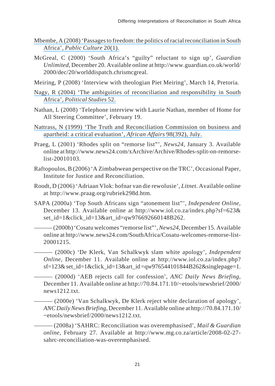- [Mbembe, A \(2008\) 'Passages to freedom: the politics of racial reconciliation in South](https://www.researchgate.net/publication/249879255_Passages_to_Freedom_The_Politics_of_Racial_Reconciliation_in_South_Africa?el=1_x_8&enrichId=rgreq-a28ce8ba70b5be7513acacec74d91c82-XXX&enrichSource=Y292ZXJQYWdlOzIzNjcyMzUyNDtBUzoyMDI3OTk0NTY0OTM1NzRAMTQyNTM2MjU2NjUxMA==) Africa', *[Public Culture](https://www.researchgate.net/publication/249879255_Passages_to_Freedom_The_Politics_of_Racial_Reconciliation_in_South_Africa?el=1_x_8&enrichId=rgreq-a28ce8ba70b5be7513acacec74d91c82-XXX&enrichSource=Y292ZXJQYWdlOzIzNjcyMzUyNDtBUzoyMDI3OTk0NTY0OTM1NzRAMTQyNTM2MjU2NjUxMA==)* 20(1).
- McGreal, C (2000) 'South Africa's "guilty" reluctant to sign up', *Guardian Unlimited*, December 20. Available online at http://www.guardian.co.uk/world/ 2000/dec/20/worlddispatch.chrismcgreal.
- Meiring, P (2008) 'Interview with theologian Piet Meiring', March 14, Pretoria.
- [Nagy, R \(2004\) 'The ambiguities of reconciliation and responsibility in South](https://www.researchgate.net/publication/4780015_The_Ambiguities_of_Reconciliation_and_Responsibility_in_South_Africa?el=1_x_8&enrichId=rgreq-a28ce8ba70b5be7513acacec74d91c82-XXX&enrichSource=Y292ZXJQYWdlOzIzNjcyMzUyNDtBUzoyMDI3OTk0NTY0OTM1NzRAMTQyNTM2MjU2NjUxMA==) Africa', *[Political Studies](https://www.researchgate.net/publication/4780015_The_Ambiguities_of_Reconciliation_and_Responsibility_in_South_Africa?el=1_x_8&enrichId=rgreq-a28ce8ba70b5be7513acacec74d91c82-XXX&enrichSource=Y292ZXJQYWdlOzIzNjcyMzUyNDtBUzoyMDI3OTk0NTY0OTM1NzRAMTQyNTM2MjU2NjUxMA==)* 52.
- Nathan, L (2008) 'Telephone interview with Laurie Nathan, member of Home for All Steering Committee', February 19.
- [Nattrass, N \(1999\) 'The Truth and Reconciliation Commission on business and](https://www.researchgate.net/publication/31371749_The_Truth_and_Reconciliation_Commission_on_Business_and_Apartheid_A_Critical_Evaluation?el=1_x_8&enrichId=rgreq-a28ce8ba70b5be7513acacec74d91c82-XXX&enrichSource=Y292ZXJQYWdlOzIzNjcyMzUyNDtBUzoyMDI3OTk0NTY0OTM1NzRAMTQyNTM2MjU2NjUxMA==) [apartheid: a critical evaluation',](https://www.researchgate.net/publication/31371749_The_Truth_and_Reconciliation_Commission_on_Business_and_Apartheid_A_Critical_Evaluation?el=1_x_8&enrichId=rgreq-a28ce8ba70b5be7513acacec74d91c82-XXX&enrichSource=Y292ZXJQYWdlOzIzNjcyMzUyNDtBUzoyMDI3OTk0NTY0OTM1NzRAMTQyNTM2MjU2NjUxMA==) *African Affairs* 98(392), July.
- Praeg, L (2001) 'Rhodes split on "remorse list"', *News24*, January 3. Available online at http://www.news24.com/xArchive/Archive/Rhodes-split-on-remorselist-20010103.
- Raftopoulos, B (2006) 'A Zimbabwean perspective on the TRC', Occasional Paper, Institute for Justice and Reconciliation.
- Roodt, D (2006) 'Adriaan Vlok: hofnar van die rewolusie', *Litnet.* Available online at http://www.praag.org/rubriek298d.htm.
- SAPA (2000a) 'Top South Africans sign "atonement list"', *Independent Online*, December 13. Available online at http://www.iol.co.za/index.php?sf=623& set\_id=1&click\_id=13&art\_id=qw976692660148B262.
- ——— (2000b) 'Cosatu welcomes "remorse list"', *News24,* December 15. Available online at http://www.news24.com/SouthAfrica/Cosatu-welcomes-remorse-list-20001215.
- ——— (2000c) 'De Klerk, Van Schalkwyk slam white apology', *Independent Online,* December 11. Available online at http://www.iol.co.za/index.php? sf=123& set id=1&click id=13&art id =qw976544101844B262&singlepage=1.
- ——— (2000d) 'AEB rejects call for confession', *ANC Daily News Briefing*, December 11. Available online at http://70.84.171.10/~etools/newsbrief/2000/ news1212.txt.
	- —— (2000e) 'Van Schalkwyk, De Klerk reject white declaration of apology', *ANC Daily News Briefing*, December 11. Available online at http://70.84.171.10/ ~etools/newsbrief/2000/news1212.txt.
	- ——— (2008a) 'SAHRC: Reconciliation was overemphasised', *Mail & Guardian online,* February 27. Available at http://www.mg.co.za/article/2008-02-27 sahrc-reconciliation-was-overemphasised.